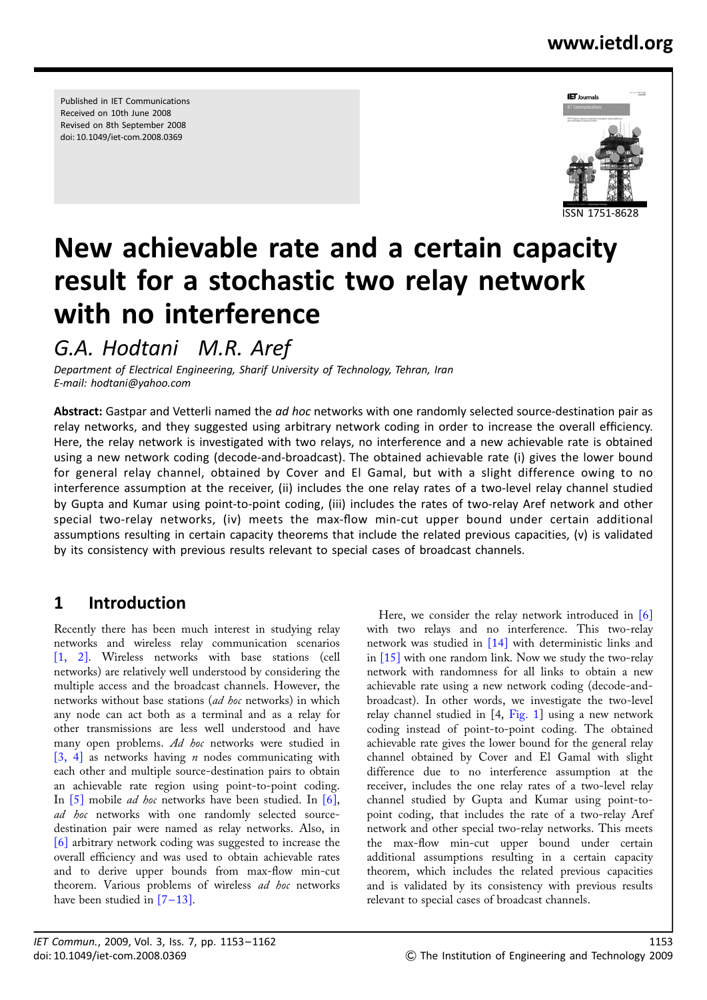## www.ietdl.org

Published in IET Communications Received on 10th June 2008 Revised on 8th September 2008 doi: 10.1049/iet-com.2008.0369



# New achievable rate and a certain capacity result for a stochastic two relay network with no interference

G.A. Hodtani M.R. Aref

Department of Electrical Engineering, Sharif University of Technology, Tehran, Iran E-mail: hodtani@yahoo.com

Abstract: Gastpar and Vetterli named the *ad hoc* networks with one randomly selected source-destination pair as relay networks, and they suggested using arbitrary network coding in order to increase the overall efficiency. Here, the relay network is investigated with two relays, no interference and a new achievable rate is obtained using a new network coding (decode-and-broadcast). The obtained achievable rate (i) gives the lower bound for general relay channel, obtained by Cover and El Gamal, but with a slight difference owing to no interference assumption at the receiver, (ii) includes the one relay rates of a two-level relay channel studied by Gupta and Kumar using point-to-point coding, (iii) includes the rates of two-relay Aref network and other special two-relay networks, (iv) meets the max-flow min-cut upper bound under certain additional assumptions resulting in certain capacity theorems that include the related previous capacities, (v) is validated by its consistency with previous results relevant to special cases of broadcast channels.

### 1 Introduction

Recently there has been much interest in studying relay networks and wireless relay communication scenarios [1, 2]. Wireless networks with base stations (cell networks) are relatively well understood by considering the multiple access and the broadcast channels. However, the networks without base stations (ad hoc networks) in which any node can act both as a terminal and as a relay for other transmissions are less well understood and have many open problems. Ad hoc networks were studied in  $[3, 4]$  as networks having *n* nodes communicating with each other and multiple source-destination pairs to obtain an achievable rate region using point-to-point coding. In [5] mobile *ad hoc* networks have been studied. In [6], ad hoc networks with one randomly selected sourcedestination pair were named as relay networks. Also, in [6] arbitrary network coding was suggested to increase the overall efficiency and was used to obtain achievable rates and to derive upper bounds from max-flow min-cut theorem. Various problems of wireless ad hoc networks have been studied in  $[7-13]$ .

Here, we consider the relay network introduced in [6] with two relays and no interference. This two-relay network was studied in [14] with deterministic links and in [15] with one random link. Now we study the two-relay network with randomness for all links to obtain a new achievable rate using a new network coding (decode-andbroadcast). In other words, we investigate the two-level relay channel studied in [4, Fig. 1] using a new network coding instead of point-to-point coding. The obtained achievable rate gives the lower bound for the general relay channel obtained by Cover and El Gamal with slight difference due to no interference assumption at the receiver, includes the one relay rates of a two-level relay channel studied by Gupta and Kumar using point-topoint coding, that includes the rate of a two-relay Aref network and other special two-relay networks. This meets the max-flow min-cut upper bound under certain additional assumptions resulting in a certain capacity theorem, which includes the related previous capacities and is validated by its consistency with previous results relevant to special cases of broadcast channels.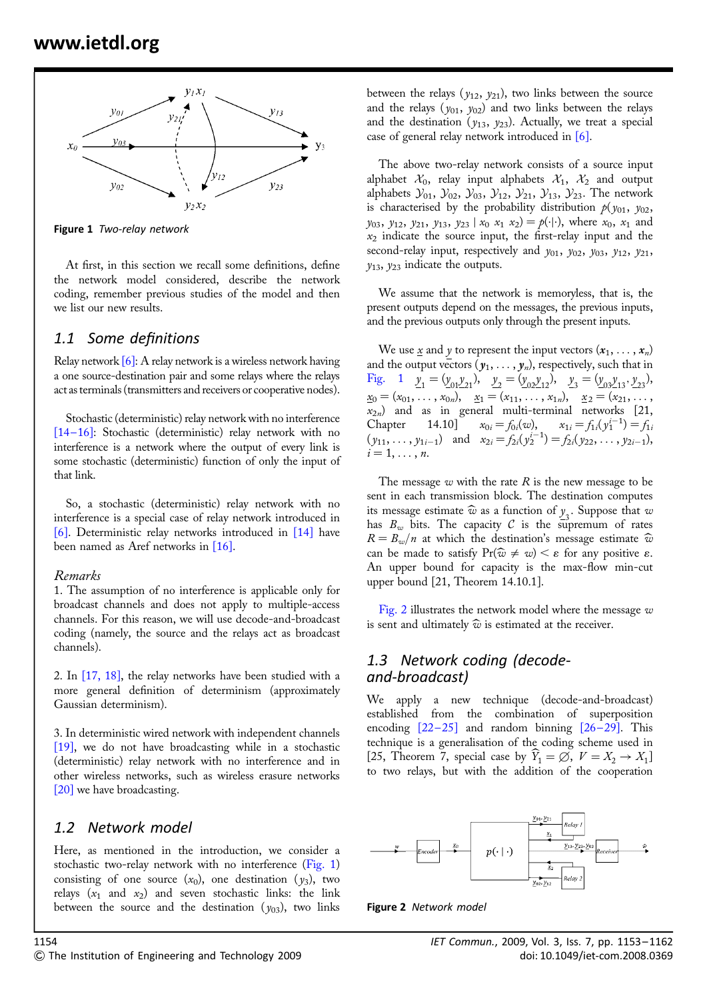

Figure 1 Two-relay network

At first, in this section we recall some definitions, define the network model considered, describe the network coding, remember previous studies of the model and then we list our new results.

#### 1.1 Some definitions

Relay network  $[6]$ : A relay network is a wireless network having a one source-destination pair and some relays where the relays act as terminals (transmitters and receivers or cooperative nodes).

Stochastic (deterministic) relay network with no interference [14–16]: Stochastic (deterministic) relay network with no interference is a network where the output of every link is some stochastic (deterministic) function of only the input of that link.

So, a stochastic (deterministic) relay network with no interference is a special case of relay network introduced in [6]. Deterministic relay networks introduced in [14] have been named as Aref networks in [16].

#### Remarks

1. The assumption of no interference is applicable only for broadcast channels and does not apply to multiple-access channels. For this reason, we will use decode-and-broadcast coding (namely, the source and the relays act as broadcast channels).

2. In [17, 18], the relay networks have been studied with a more general definition of determinism (approximately Gaussian determinism).

3. In deterministic wired network with independent channels [19], we do not have broadcasting while in a stochastic (deterministic) relay network with no interference and in other wireless networks, such as wireless erasure networks [20] we have broadcasting.

### 1.2 Network model

Here, as mentioned in the introduction, we consider a stochastic two-relay network with no interference (Fig. 1) consisting of one source  $(x_0)$ , one destination  $(y_3)$ , two relays  $(x_1 \text{ and } x_2)$  and seven stochastic links: the link between the source and the destination  $(v_{03})$ , two links

between the relays  $(y_{12}, y_{21})$ , two links between the source and the relays  $(y_{01}, y_{02})$  and two links between the relays and the destination  $(y_{13}, y_{23})$ . Actually, we treat a special case of general relay network introduced in [6].

The above two-relay network consists of a source input alphabet  $\mathcal{X}_0$ , relay input alphabets  $\mathcal{X}_1$ ,  $\mathcal{X}_2$  and output alphabets  $\mathcal{Y}_{01}$ ,  $\mathcal{Y}_{02}$ ,  $\mathcal{Y}_{03}$ ,  $\mathcal{Y}_{12}$ ,  $\mathcal{Y}_{21}$ ,  $\mathcal{Y}_{13}$ ,  $\mathcal{Y}_{23}$ . The network is characterised by the probability distribution  $p(y_{01}, y_{02},$ y<sub>03</sub>, y<sub>12</sub>, y<sub>21</sub>, y<sub>13</sub>, y<sub>23</sub> |  $x_0$   $x_1$   $x_2$ ) =  $p(\cdot|\cdot)$ , where  $x_0$ ,  $x_1$  and  $x_2$  indicate the source input, the first-relay input and the second-relay input, respectively and  $y_{01}$ ,  $y_{02}$ ,  $y_{03}$ ,  $y_{12}$ ,  $y_{21}$ ,  $y_{13}$ ,  $y_{23}$  indicate the outputs.

We assume that the network is memoryless, that is, the present outputs depend on the messages, the previous inputs, and the previous outputs only through the present inputs.

We use <u>x</u> and y to represent the input vectors  $(x_1, \ldots, x_n)$ and the output vectors  $(y_1, \ldots, y_n)$ , respectively, such that in Fig. 1  $\underline{y}_1 = (\underline{y}_{01}\underline{y}_{21}), \underline{y}_2 = (\underline{y}_{02}\underline{y}_{12}), \underline{y}_3 = (\underline{y}_{03}\underline{y}_{13}, \underline{y}_{23}),$  $\underline{x}_0 = (x_{01}, \ldots, x_{0n}), \quad \underline{x}_1 = (x_{11}, \ldots, x_{1n}), \quad \underline{x}_2 = (x_{21}, \ldots, x_{nn})$  $x_{2n}$ ) and as in general multi-terminal networks [21, Chapter 14.10]  $x_{0i} = f_{0i}(w)$ ,  $x_{1i} = f_{1i}(y_1^{i-1}) = f_{1i}$  $(y_{11}, \ldots, y_{1i-1})$  and  $x_{2i} = f_{2i}(y_2^{i-1}) = f_{2i}(y_{22}, \ldots, y_{2i-1}),$  $i = 1, \ldots, n$ .

The message  $w$  with the rate  $R$  is the new message to be sent in each transmission block. The destination computes its message estimate  $\widehat{w}$  as a function of  $y_3$ . Suppose that w has  $B_w$  bits. The capacity C is the supremum of rates  $R = B_w/n$  at which the destination's message estimate  $\hat{w}$ can be made to satisfy  $Pr(\widehat{w} \neq w) < \varepsilon$  for any positive  $\varepsilon$ . An upper bound for capacity is the max-flow min-cut upper bound [21, Theorem 14.10.1].

Fig. 2 illustrates the network model where the message  $w$ is sent and ultimately  $\widehat{\omega}$  is estimated at the receiver.

#### 1.3 Network coding (decodeand-broadcast)

We apply a new technique (decode-and-broadcast) established from the combination of superposition encoding  $[22-25]$  and random binning  $[26-29]$ . This technique is a generalisation of the coding scheme used in [25, Theorem 7, special case by  $\hat{Y}_1 = \emptyset$ ,  $V = X_2 \rightarrow X_1$ ] to two relays, but with the addition of the cooperation



Figure 2 Network model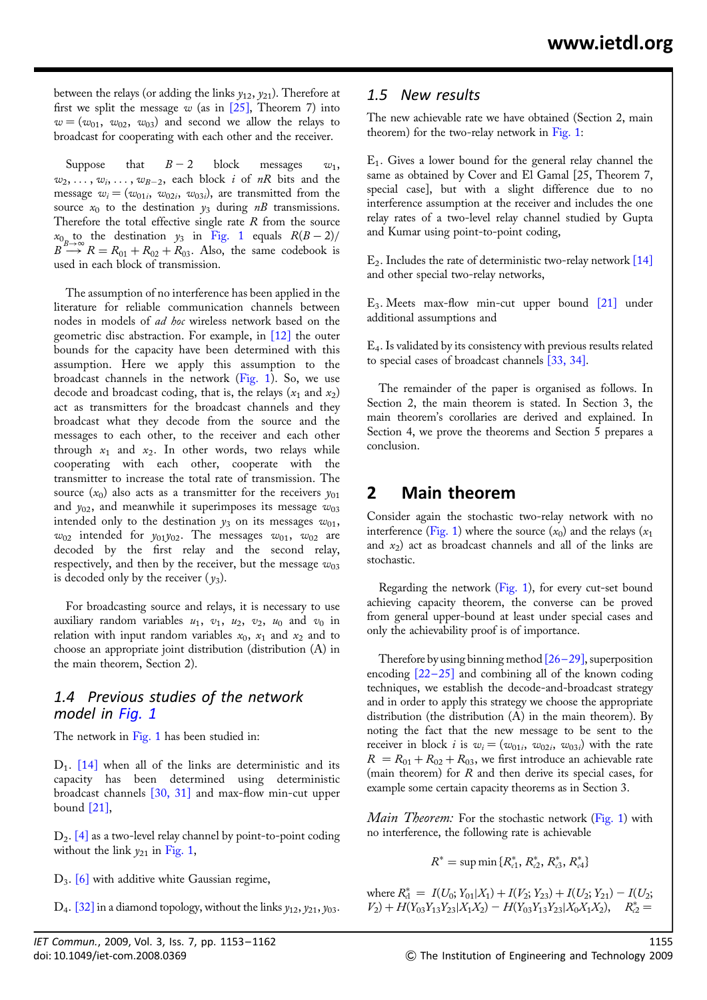between the relays (or adding the links  $y_{12}$ ,  $y_{21}$ ). Therefore at first we split the message  $w$  (as in [25], Theorem 7) into  $w = (w_{01}, w_{02}, w_{03})$  and second we allow the relays to broadcast for cooperating with each other and the receiver.

Suppose that  $B-2$  block messages  $w_1$ ,  $w_2, \ldots, w_i, \ldots, w_{R-2}$ , each block i of nR bits and the message  $w_i = (w_{01i}, w_{02i}, w_{03i})$ , are transmitted from the source  $x_0$  to the destination  $y_3$  during nB transmissions. Therefore the total effective single rate  $R$  from the source  $x_0$  to the destination  $y_3$  in Fig. 1 equals  $R(B-2)/$  $B \rightarrow R = R_{01} + R_{02} + R_{03}$ . Also, the same codebook is used in each block of transmission.

The assumption of no interference has been applied in the literature for reliable communication channels between nodes in models of ad hoc wireless network based on the geometric disc abstraction. For example, in [12] the outer bounds for the capacity have been determined with this assumption. Here we apply this assumption to the broadcast channels in the network (Fig. 1). So, we use decode and broadcast coding, that is, the relays  $(x_1 \text{ and } x_2)$ act as transmitters for the broadcast channels and they broadcast what they decode from the source and the messages to each other, to the receiver and each other through  $x_1$  and  $x_2$ . In other words, two relays while cooperating with each other, cooperate with the transmitter to increase the total rate of transmission. The source  $(x_0)$  also acts as a transmitter for the receivers  $y_{01}$ and  $y_{02}$ , and meanwhile it superimposes its message  $w_{03}$ intended only to the destination  $y_3$  on its messages  $w_{01}$ ,  $w_{02}$  intended for  $y_{01}y_{02}$ . The messages  $w_{01}$ ,  $w_{02}$  are decoded by the first relay and the second relay, respectively, and then by the receiver, but the message  $w_{03}$ is decoded only by the receiver  $(y_3)$ .

For broadcasting source and relays, it is necessary to use auxiliary random variables  $u_1$ ,  $v_1$ ,  $u_2$ ,  $v_2$ ,  $u_0$  and  $v_0$  in relation with input random variables  $x_0$ ,  $x_1$  and  $x_2$  and to choose an appropriate joint distribution (distribution (A) in the main theorem, Section 2).

### 1.4 Previous studies of the network model in Fig. 1

The network in Fig. 1 has been studied in:

 $D_1$ . [14] when all of the links are deterministic and its capacity has been determined using deterministic broadcast channels [30, 31] and max-flow min-cut upper bound [21],

 $D_2$ . [4] as a two-level relay channel by point-to-point coding without the link  $y_{21}$  in Fig. 1,

D3. [6] with additive white Gaussian regime,

D<sub>4</sub>. [32] in a diamond topology, without the links  $y_{12}$ ,  $y_{21}$ ,  $y_{03}$ .

### 1.5 New results

The new achievable rate we have obtained (Section 2, main theorem) for the two-relay network in Fig. 1:

 $E_1$ . Gives a lower bound for the general relay channel the same as obtained by Cover and El Gamal [25, Theorem 7, special case], but with a slight difference due to no interference assumption at the receiver and includes the one relay rates of a two-level relay channel studied by Gupta and Kumar using point-to-point coding,

 $E_2$ . Includes the rate of deterministic two-relay network [14] and other special two-relay networks,

E3. Meets max-flow min-cut upper bound [21] under additional assumptions and

E4. Is validated by its consistency with previous results related to special cases of broadcast channels [33, 34].

The remainder of the paper is organised as follows. In Section 2, the main theorem is stated. In Section 3, the main theorem's corollaries are derived and explained. In Section 4, we prove the theorems and Section 5 prepares a conclusion.

### 2 Main theorem

Consider again the stochastic two-relay network with no interference (Fig. 1) where the source  $(x_0)$  and the relays  $(x_1)$ and  $x_2$ ) act as broadcast channels and all of the links are stochastic.

Regarding the network (Fig. 1), for every cut-set bound achieving capacity theorem, the converse can be proved from general upper-bound at least under special cases and only the achievability proof is of importance.

Therefore by using binning method  $[26-29]$ , superposition encoding  $[22-25]$  and combining all of the known coding techniques, we establish the decode-and-broadcast strategy and in order to apply this strategy we choose the appropriate distribution (the distribution (A) in the main theorem). By noting the fact that the new message to be sent to the receiver in block *i* is  $w_i = (w_{01i}, w_{02i}, w_{03i})$  with the rate  $R = R_{01} + R_{02} + R_{03}$ , we first introduce an achievable rate (main theorem) for  $R$  and then derive its special cases, for example some certain capacity theorems as in Section 3.

Main Theorem: For the stochastic network (Fig. 1) with no interference, the following rate is achievable

 $R^* = \text{sup min} \{R_{c1}^*, R_{c2}^*, R_{c3}^*, R_{c4}^*\}$ 

where  $R_{d}^{*} = I(U_0; Y_{01}|X_1) + I(V_2; Y_{23}) + I(U_2; Y_{21}) - I(U_2; Y_{22})$  $V_2$ ) +  $H(Y_{03}Y_{13}Y_{23}|X_1X_2) - H(Y_{03}Y_{13}Y_{23}|X_0X_1X_2),$   $R_{c2}^* =$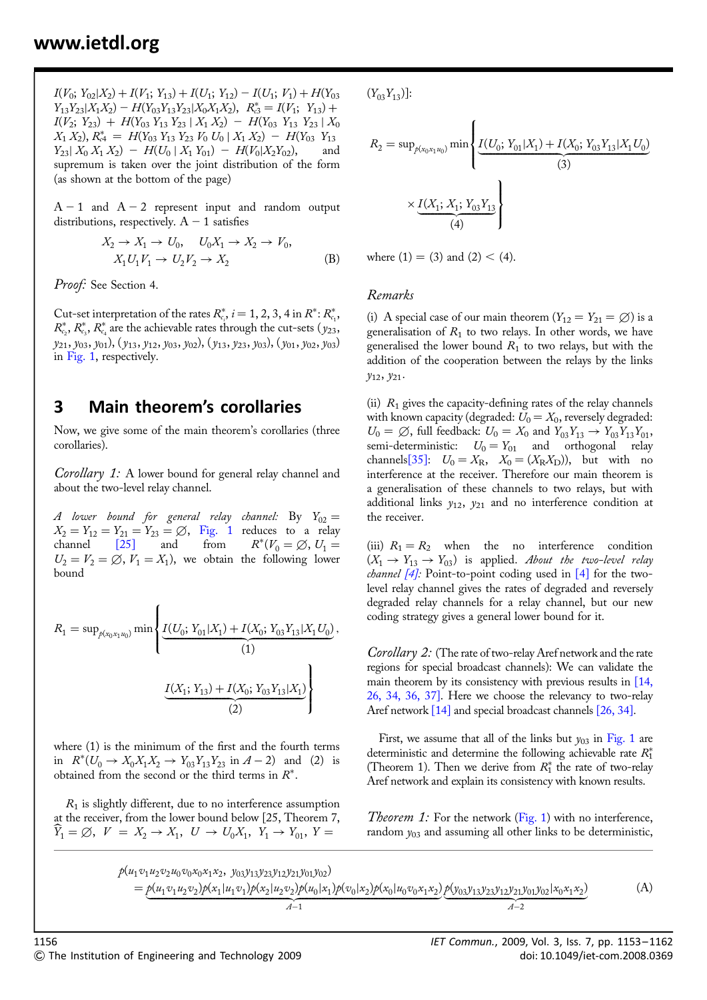### www.ietdl.org

 $I(V_0; Y_{02}|X_2) + I(V_1; Y_{13}) + I(U_1; Y_{12}) - I(U_1; V_1) + H(Y_{03})$  $Y_{13}Y_{23}|X_1X_2\rangle - H(Y_{03}Y_{13}Y_{23}|X_0X_1X_2\rangle, R_{c3}^* = I(V_1; Y_{13}) +$  $I(V_2; Y_{23}) + H(Y_{03} Y_{13} Y_{23} | X_1 X_2) - H(Y_{03} Y_{13} Y_{23} | X_0$  $X_1 X_2$ ),  $R_{c4}^* = H(Y_{03} Y_{13} Y_{23} V_0 U_0 | X_1 X_2) - H(Y_{03} Y_{13}$  $Y_{23}$  $X_0 X_1 X_2$  –  $H(U_0 | X_1 Y_{01}) - H(V_0 | X_2 Y_{02})$ , and supremum is taken over the joint distribution of the form (as shown at the bottom of the page)

 $A - 1$  and  $A - 2$  represent input and random output distributions, respectively.  $A - 1$  satisfies

$$
X_2 \to X_1 \to U_0, \quad U_0 X_1 \to X_2 \to V_0, X_1 U_1 V_1 \to U_2 V_2 \to X_2
$$
 (B)

Proof: See Section 4.

Cut-set interpretation of the rates  $R_{c_i}^*$ ,  $i = 1, 2, 3, 4$  in  $R^*$ :  $R_{c_i}^*$ ,  $R_{c_2}^*, R_{c_3}^*, R_{c_4}^*$  are the achievable rates through the cut-sets ( $y_{23}$ ,  $y_{21}, y_{03}, y_{01}$ ,  $(y_{13}, y_{12}, y_{03}, y_{02})$ ,  $(y_{13}, y_{23}, y_{03})$ ,  $(y_{01}, y_{02}, y_{03})$ in Fig. 1, respectively.

### 3 Main theorem's corollaries

Now, we give some of the main theorem's corollaries (three corollaries).

Corollary 1: A lower bound for general relay channel and about the two-level relay channel.

A lower bound for general relay channel: By  $Y_{02} =$  $X_2 = Y_{12} = Y_{21} = Y_{23} = \emptyset$ , Fig. 1 reduces to a relay  $channel$   $[25]$  and from  $R^*(V_0 = \emptyset, U_1 =$  $U_2 = V_2 = \emptyset$ ,  $V_1 = X_1$ , we obtain the following lower bound

$$
R_1 = \sup_{p(x_0, x_1u_0)} \min \left\{ \underbrace{I(U_0; Y_{01}|X_1) + I(X_0; Y_{03}Y_{13}|X_1U_0)}_{(1)}, \underbrace{I(X_1; Y_{13}) + I(X_0; Y_{03}Y_{13}|X_1)}_{(2)} \right\}
$$

where (1) is the minimum of the first and the fourth terms in  $R^*(U_0 \to X_0 X_1 X_2 \to Y_{03} Y_{13} Y_{23} \text{ in } A-2)$  and (2) is obtained from the second or the third terms in  $R^*$ .

 $R_1$  is slightly different, due to no interference assumption at the receiver, from the lower bound below [25, Theorem 7,  $\widehat{Y}_1 = \emptyset, \ V = X_2 \to X_1, \ U \to U_0 X_1, \ Y_1 \to Y_{01}, \ Y =$ 

 $(Y_{03}Y_{13})$ :

$$
R_2 = \sup_{p(x_0, x_1u_0)} \min \left\{ \underbrace{I(U_0; Y_{01}|X_1) + I(X_0; Y_{03}Y_{13}|X_1U_0)}_{(3)} \right\}
$$
  
 
$$
\times \underbrace{I(X_1; X_1; Y_{03}Y_{13}}_{(4)} \right\}
$$

where  $(1) = (3)$  and  $(2) < (4)$ .

#### Remarks

(i) A special case of our main theorem  $(Y_{12} = Y_{21} = \emptyset)$  is a generalisation of  $R_1$  to two relays. In other words, we have generalised the lower bound  $R_1$  to two relays, but with the addition of the cooperation between the relays by the links y12, y21.

(ii)  $R_1$  gives the capacity-defining rates of the relay channels with known capacity (degraded:  $U_0 = X_0$ , reversely degraded:  $U_0 = \emptyset$ , full feedback:  $U_0 = X_0$  and  $Y_{03}Y_{13} \to Y_{03}Y_{13}Y_{01}$ , semi-deterministic:  $U_0 = Y_{01}$  and orthogonal relay channels[35]:  $U_0 = X_R$ ,  $X_0 = (X_R X_D)$ ), but with no interference at the receiver. Therefore our main theorem is a generalisation of these channels to two relays, but with additional links  $y_{12}$ ,  $y_{21}$  and no interference condition at the receiver.

(iii)  $R_1 = R_2$  when the no interference condition  $(X_1 \rightarrow Y_{13} \rightarrow Y_{03})$  is applied. About the two-level relay *channel*  $[4]$ : Point-to-point coding used in  $[4]$  for the twolevel relay channel gives the rates of degraded and reversely degraded relay channels for a relay channel, but our new coding strategy gives a general lower bound for it.

Corollary 2: (The rate of two-relay Aref network and the rate regions for special broadcast channels): We can validate the main theorem by its consistency with previous results in [14, 26, 34, 36, 37]. Here we choose the relevancy to two-relay Aref network [14] and special broadcast channels [26, 34].

First, we assume that all of the links but  $y_{03}$  in Fig. 1 are deterministic and determine the following achievable rate  $R_1^*$ (Theorem 1). Then we derive from  $R_1^*$  the rate of two-relay Aref network and explain its consistency with known results.

*Theorem 1*: For the network (Fig. 1) with no interference, random  $y_{03}$  and assuming all other links to be deterministic,

$$
\begin{split} p(u_1v_1u_2v_2u_0v_0x_0x_1x_2, y_{03}y_{13}y_{23}y_{12}y_{21}y_{01}y_{02}) \\ &= \underbrace{p(u_1v_1u_2v_2)p(x_1|u_1v_1)p(x_2|u_2v_2)p(u_0|x_1)p(v_0|x_2)p(x_0|u_0v_0x_1x_2)}_{A-1} \underbrace{p(y_{03}y_{13}y_{23}y_{12}y_{21}y_{01}y_{02}|x_0x_1x_2)}_{A-2} \end{split} \tag{A}
$$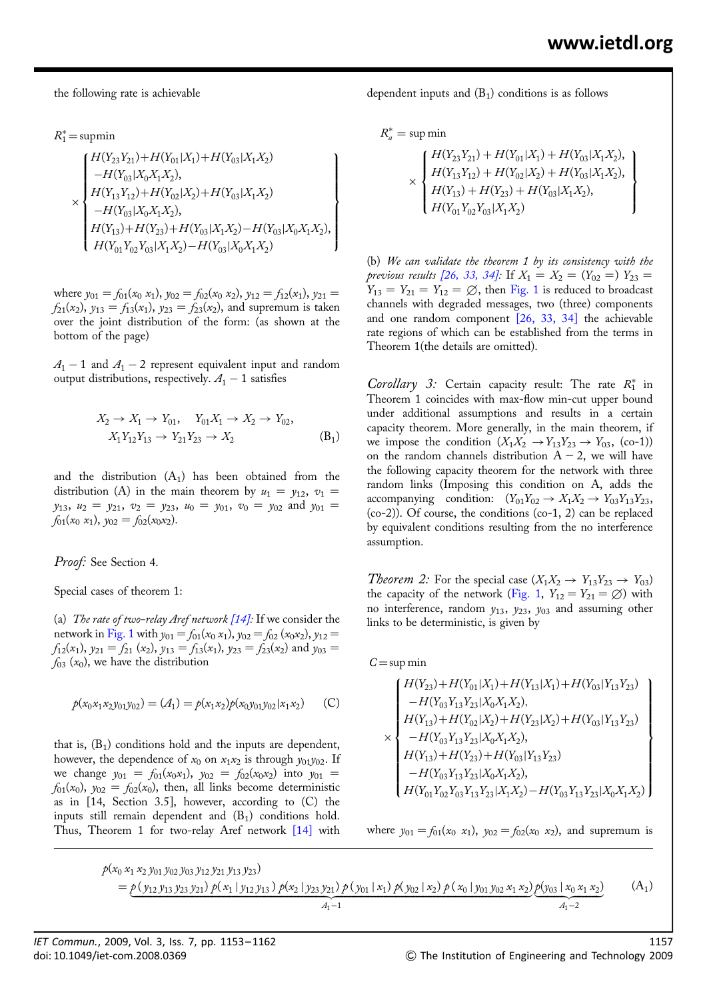the following rate is achievable

 $R_1^* = \text{supmin}$ 

$$
\times\begin{cases} H(Y_{23}Y_{21}) + H(Y_{01}|X_1) + H(Y_{03}|X_1X_2) \\ - H(Y_{03}|X_0X_1X_2),\\ H(Y_{13}Y_{12}) + H(Y_{02}|X_2) + H(Y_{03}|X_1X_2) \\ - H(Y_{03}|X_0X_1X_2),\\ H(Y_{13}) + H(Y_{23}) + H(Y_{03}|X_1X_2) - H(Y_{03}|X_0X_1X_2),\\ H(Y_{01}Y_{02}Y_{03}|X_1X_2) - H(Y_{03}|X_0X_1X_2) \end{cases}
$$

where  $y_{01} = f_{01}(x_0, x_1), y_{02} = f_{02}(x_0, x_2), y_{12} = f_{12}(x_1), y_{21} =$  $f_{21}(x_2)$ ,  $y_{13} = f_{13}(x_1)$ ,  $y_{23} = f_{23}(x_2)$ , and supremum is taken over the joint distribution of the form: (as shown at the bottom of the page)

 $A_1 - 1$  and  $A_1 - 2$  represent equivalent input and random output distributions, respectively.  $A_1 - 1$  satisfies

$$
X_2 \to X_1 \to Y_{01}, \quad Y_{01}X_1 \to X_2 \to Y_{02},
$$
  

$$
X_1 Y_{12} Y_{13} \to Y_{21} Y_{23} \to X_2
$$
 (B<sub>1</sub>)

and the distribution  $(A_1)$  has been obtained from the distribution (A) in the main theorem by  $u_1 = v_{12}$ ,  $v_1 =$  $y_{13}$ ,  $u_2 = y_{21}$ ,  $v_2 = y_{23}$ ,  $u_0 = y_{01}$ ,  $v_0 = y_{02}$  and  $y_{01} =$  $f_{01}(x_0, x_1), y_{02} = f_{02}(x_0, x_2).$ 

Proof: See Section 4.

Special cases of theorem 1:

(a) The rate of two-relay Aref network  $[14]$ : If we consider the network in Fig. 1 with  $y_{01} = f_{01}(x_0 x_1), y_{02} = f_{02}(x_0 x_2), y_{12} =$  $f_{12}(x_1)$ ,  $y_{21} = f_{21} (x_2)$ ,  $y_{13} = f_{13}(x_1)$ ,  $y_{23} = f_{23}(x_2)$  and  $y_{03} =$  $f_{03}$  ( $x_0$ ), we have the distribution

$$
p(x_0x_1x_2y_{01}y_{02}) = (A_1) = p(x_1x_2)p(x_0y_{01}y_{02}|x_1x_2)
$$
 (C)

that is,  $(B_1)$  conditions hold and the inputs are dependent, however, the dependence of  $x_0$  on  $x_1x_2$  is through  $y_{01}y_{02}$ . If we change  $y_{01} = f_{01}(x_0x_1), y_{02} = f_{02}(x_0x_2)$  into  $y_{01} =$  $f_{01}(x_0)$ ,  $y_{02} = f_{02}(x_0)$ , then, all links become deterministic as in [14, Section 3.5], however, according to (C) the inputs still remain dependent and  $(B_1)$  conditions hold. Thus, Theorem 1 for two-relay Aref network [14] with

dependent inputs and  $(B_1)$  conditions is as follows

$$
R_a^* = \sup \min
$$

$$
\times \left\{\n\begin{aligned}\nH(Y_{23}Y_{21}) + H(Y_{01}|X_1) + H(Y_{03}|X_1X_2), \\
H(Y_{13}Y_{12}) + H(Y_{02}|X_2) + H(Y_{03}|X_1X_2), \\
H(Y_{13}) + H(Y_{23}) + H(Y_{03}|X_1X_2), \\
H(Y_{01}Y_{02}Y_{03}|X_1X_2)\n\end{aligned}\n\right\}
$$

(b) We can validate the theorem 1 by its consistency with the previous results [26, 33, 34]: If  $X_1 = X_2 = (Y_{02} =) Y_{23} =$  $Y_{13} = Y_{21} = Y_{12} = \emptyset$ , then Fig. 1 is reduced to broadcast channels with degraded messages, two (three) components and one random component [26, 33, 34] the achievable rate regions of which can be established from the terms in Theorem 1(the details are omitted).

Corollary 3: Certain capacity result: The rate  $R_1^*$  in Theorem 1 coincides with max-flow min-cut upper bound under additional assumptions and results in a certain capacity theorem. More generally, in the main theorem, if we impose the condition  $(X_1X_2 \rightarrow Y_{13}Y_{23} \rightarrow Y_{03}$ , (co-1)) on the random channels distribution  $A - 2$ , we will have the following capacity theorem for the network with three random links (Imposing this condition on A, adds the accompanying condition:  $(Y_{01}Y_{02} \rightarrow X_1X_2 \rightarrow Y_{03}Y_{13}Y_{23},$ (co-2)). Of course, the conditions (co-1, 2) can be replaced by equivalent conditions resulting from the no interference assumption.

*Theorem 2:* For the special case  $(X_1X_2 \rightarrow Y_{13}Y_{23} \rightarrow Y_{03})$ the capacity of the network (Fig. 1,  $Y_{12} = Y_{21} = \emptyset$ ) with no interference, random  $y_{13}$ ,  $y_{23}$ ,  $y_{03}$  and assuming other links to be deterministic, is given by

$$
C = \sup_{\mathbf{X}} \min \left\{ \begin{aligned} &H(Y_{23}) + H(Y_{01}|X_1) + H(Y_{13}|X_1) + H(Y_{03}|Y_{13}Y_{23}) \\ &- H(Y_{03}Y_{13}Y_{23}|X_0X_1X_2), \\ &H(Y_{13}) + H(Y_{02}|X_2) + H(Y_{23}|X_2) + H(Y_{03}|Y_{13}Y_{23}) \\ &- H(Y_{03}Y_{13}Y_{23}|X_0X_1X_2), \\ &H(Y_{13}) + H(Y_{23}) + H(Y_{03}|Y_{13}Y_{23}) \\ &- H(Y_{03}Y_{13}Y_{23}|X_0X_1X_2), \\ &H(Y_{01}Y_{02}Y_{03}Y_{13}Y_{23}|X_1X_2) - H(Y_{03}Y_{13}Y_{23}|X_0X_1X_2) \end{aligned} \right\}
$$

where  $y_{01} = f_{01}(x_0, x_1), y_{02} = f_{02}(x_0, x_2),$  and supremum is

$$
\begin{split} &\rho(x_0 \, x_1 \, x_2 \, y_{01} \, y_{02} \, y_{03} \, y_{12} \, y_{21} \, y_{13} \, y_{23}) \\ &= \underbrace{\rho \left( y_{12} \, y_{13} \, y_{23} \, y_{21} \right) \, \rho \left( x_1 \, \vert \, y_{12} \, y_{13} \right) \, \rho \left( x_2 \, \vert \, y_{23} \, y_{21} \right) \, \rho \left( y_{01} \, \vert \, x_1 \right) \, \rho \left( y_{02} \, \vert \, x_2 \right) \, \rho \left( x_0 \, \vert \, y_{01} \, y_{02} \, x_1 \, x_2 \right)}_{A_1 - 2} \end{split} \tag{A_1}
$$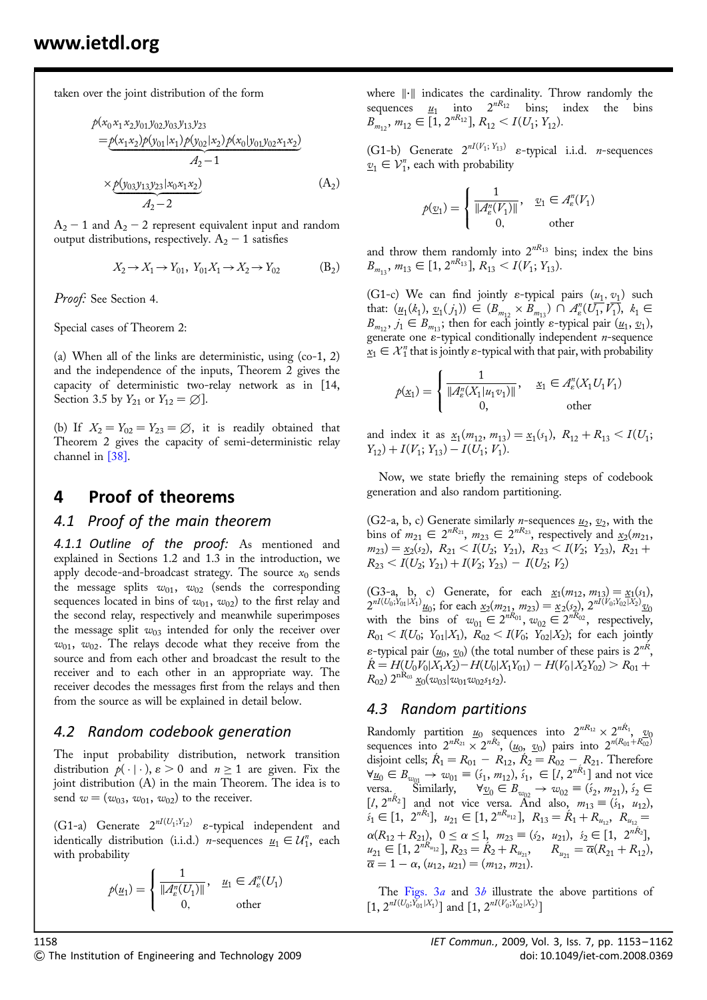taken over the joint distribution of the form

$$
p(x_0x_1x_2y_{01}y_{02}y_{03}y_{13}y_{23}
$$
  
=  $p(x_1x_2)p(y_{01}|x_1)p(y_{02}|x_2)p(x_0|y_{01}y_{02}x_1x_2)$   
 $A_2 - 1$   
 $\times p(y_{03}y_{13}y_{23}|x_0x_1x_2)$   
 $A_2 - 2$  (A<sub>2</sub>)

 $A_2 - 1$  and  $A_2 - 2$  represent equivalent input and random output distributions, respectively.  $A_2 - 1$  satisfies

$$
X_2 \to X_1 \to Y_{01}, \ Y_{01} X_1 \to X_2 \to Y_{02} \tag{B_2}
$$

Proof: See Section 4.

Special cases of Theorem 2:

(a) When all of the links are deterministic, using  $(co-1, 2)$ and the independence of the inputs, Theorem 2 gives the capacity of deterministic two-relay network as in [14, Section 3.5 by  $Y_{21}$  or  $Y_{12} = \emptyset$ .

(b) If  $X_2 = Y_{02} = Y_{23} = \emptyset$ , it is readily obtained that Theorem 2 gives the capacity of semi-deterministic relay channel in [38].

### 4 Proof of theorems

#### 4.1 Proof of the main theorem

4.1.1 Outline of the proof: As mentioned and explained in Sections 1.2 and 1.3 in the introduction, we apply decode-and-broadcast strategy. The source  $x_0$  sends the message splits  $w_{01}$ ,  $w_{02}$  (sends the corresponding sequences located in bins of  $w_{01}$ ,  $w_{02}$ ) to the first relay and the second relay, respectively and meanwhile superimposes the message split  $w_{03}$  intended for only the receiver over  $w_{01}$ ,  $w_{02}$ . The relays decode what they receive from the source and from each other and broadcast the result to the receiver and to each other in an appropriate way. The receiver decodes the messages first from the relays and then from the source as will be explained in detail below.

### 4.2 Random codebook generation

The input probability distribution, network transition distribution  $p(\cdot | \cdot)$ ,  $\varepsilon > 0$  and  $n \ge 1$  are given. Fix the joint distribution (A) in the main Theorem. The idea is to send  $w = (w_{03}, w_{01}, w_{02})$  to the receiver.

(G1-a) Generate  $2^{nI(U_1;Y_{12})}$  e-typical independent and identically distribution (i.i.d.) *n*-sequences  $\underline{u}_1 \in U_1^n$ , each with probability

$$
p(\underline{u}_1) = \begin{cases} \frac{1}{\|A_{\varepsilon}^n(U_1)\|}, & \underline{u}_1 \in A_{\varepsilon}^n(U_1) \\ 0, & \text{other} \end{cases}
$$

where  $\|\cdot\|$  indicates the cardinality. Throw randomly the sequences  $u_1$  into  $2^{nR_{12}}$  bins; index the bins  $B_{m_1}$ ,  $m_{12} \in \overline{[1, 2^{nR_{12}}]}, R_{12} < I(U_1; Y_{12}).$ 

(G1-b) Generate  $2^{nI(V_1; Y_{13})}$   $\varepsilon$ -typical i.i.d. *n*-sequences  $\underline{v}_1 \in \mathcal{V}_1^n$ , each with probability

$$
p(\underline{v}_1) = \begin{cases} \frac{1}{\|A^n_{\varepsilon}(V_1)\|}, & \underline{v}_1 \in A^n_{\varepsilon}(V_1) \\ 0, & \text{other} \end{cases}
$$

and throw them randomly into  $2^{nR_{13}}$  bins; index the bins  $B_{m_{13}}, m_{13} \in [1, 2^{nR_{13}}], R_{13} < I(V_1; Y_{13}).$ 

(G1-c) We can find jointly  $\varepsilon$ -typical pairs  $(u_1, v_1)$  such that:  $(\underline{u}_1(k_1), \underline{v}_1(j_1)) \in (B_{m_{12}} \times B_{m_{13}}) \cap A_{\varepsilon}^n(\overline{U_1}, \overline{V_1}), k_1 \in$  $B_{m_1}$ ,  $j_1 \in B_{m_1}$ ; then for each jointly  $\varepsilon$ -typical pair  $(\underline{u}_1, \underline{v}_1)$ , generate one  $\varepsilon$ -typical conditionally independent *n*-sequence  $x_1 \in \mathcal{X}_1^n$  that is jointly  $\varepsilon$ -typical with that pair, with probability

$$
p(\underline{x}_1) = \begin{cases} \frac{1}{\|A_{\varepsilon}^n(X_1|u_1v_1)\|}, & \underline{x}_1 \in A_{\varepsilon}^n(X_1U_1V_1) \\ 0, & \text{other} \end{cases}
$$

and index it as  $\underline{x}_1(m_{12}, m_{13}) = \underline{x}_1(s_1), R_{12} + R_{13} < I(U_1;$  $Y_{12}$ ) +  $I(V_1; Y_{13}) - I(U_1; V_1)$ .

Now, we state briefly the remaining steps of codebook generation and also random partitioning.

(G2-a, b, c) Generate similarly *n*-sequences  $u_2$ ,  $v_2$ , with the bins of  $m_{21} \in 2^{nR_{21}}$ ,  $m_{23} \in 2^{nR_{23}}$ , respectively and  $\underline{x}_2(m_{21},$  $(m_{23}) = \underline{x_2}(s_2), R_{21} < I(U_2; Y_{21}), R_{23} < I(V_2; Y_{23}), R_{21} +$  $R_{23} < I(U_2; Y_{21}) + I(V_2; Y_{23}) - I(U_2; V_2)$ 

(G3-a, b, c) Generate, for each  $x_1(m_{12}, m_{13}) = x_1(s_1)$ ,  $2^{nI(U_0;Y_{01}|X_1)}\underline{u}_0$ ; for each  $\underline{x}_2(m_{21}, m_{23}) = \underline{x}_2(s_2)$ ,  $2^{nI(V_0;Y_{02}|X_2)}\underline{v}_0$ with the bins of  $w_{01} \in 2^{nR_{01}}$ ,  $w_{02} \in 2^{nR_{02}}$ , respectively,  $R_{01} < I(U_0; Y_{01}|X_1), R_{02} < I(V_0; Y_{02}|X_2)$ ; for each jointly  $\varepsilon$ -typical pair  $(\underline{u}_0, \underline{v}_0)$  (the total number of these pairs is  $2^{n\hat{R}}$ ,  $\hat{R} = H(U_0V_0|X_1X_2) - H(U_0|X_1Y_{01}) - H(V_0|X_2Y_{02}) > R_{01} +$  $R_{02}$ )  $2^{nR_{03}}$   $\alpha_0(w_{03}|w_{01}w_{02}s_1s_2)$ .

#### 4.3 Random partitions

Randomly partition  $\underline{u}_0$  sequences into  $2^{nR_{12}} \times 2^{nR_1}$ ,  $\underline{v}_0$ <br>sequences into  $2^{nR_{21}} \times 2^{nR_2}$ ,  $(\underline{u}_0, \underline{v}_0)$  pairs into  $2^{n(R_{01}+R_{02})}$ disjoint cells;  $\acute{R}_1 = R_{01} - R_{12}$ ,  $\acute{R}_2 = R_{02} - R_{21}$ . Therefore  $\forall \underline{u}_0 \in B_{w_{01}} \to w_{01} \equiv (\xi_1, m_{12}), \xi_1, \in [l, 2^{n\hat{R}_1}]$  and not vice versa. Similarly,  $\forall \underline{v}_0 \in B_{w_{02}} \rightarrow w_{02} \equiv (\hat{s}_2, m_{21}), \hat{s}_2 \in \mathbb{R}$ [ $l, 2^{n\hat{R}_2}$ ] and not vice versa. And also,  $m_{13} \equiv (\hat{s}_1, u_{12}),$  $s_1 \in [1, 2^{nR_1}], u_{21} \in [1, 2^{nR_{u_{12}}}], R_{13} = \hat{R}_1 + R_{u_{12}}, R_{u_{12}} =$  $\alpha(R_{12} + R_{21}), \ \ 0 \leq \alpha \leq 1, \ \ m_{23} \equiv (\zeta_2, \ \ u_{21}), \ \ \zeta_2 \in [1, \ \ 2^{nR_2}],$  $u_{21} \in [1, 2^{nR_{u_{12}}}], R_{23} = \hat{R}_2 + R_{u_{21}}, \quad R_{u_{21}} = \overline{\alpha}(R_{21} + R_{12}),$  $\overline{\alpha} = 1 - \alpha, (u_{12}, u_{21}) = (m_{12}, m_{21}).$ 

The Figs.  $3a$  and  $3b$  illustrate the above partitions of  $[1, 2^{nI(U_0;Y_{01}|X_1)}]$  and  $[1, 2^{nI(V_0;Y_{02}|X_2)}]$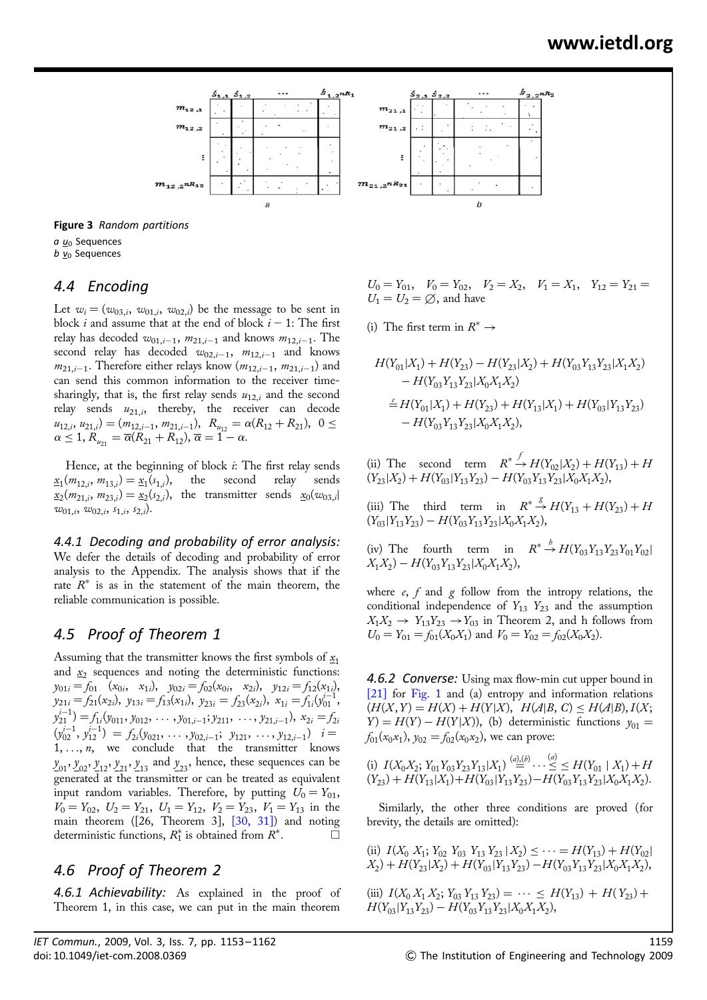

### Figure 3 Random partitions

 $a u_0$  Sequences  $b \underline{v}_0$  Sequences

### 4.4 Encoding

Let  $w_i = (w_{03,i}, w_{01,i}, w_{02,i})$  be the message to be sent in block *i* and assume that at the end of block  $i - 1$ : The first relay has decoded  $w_{01,i-1}$ ,  $m_{21,i-1}$  and knows  $m_{12,i-1}$ . The second relay has decoded  $w_{02,i-1}$ ,  $m_{12,i-1}$  and knows  $m_{21,i-1}$ . Therefore either relays know  $(m_{12,i-1}, m_{21,i-1})$  and can send this common information to the receiver timesharingly, that is, the first relay sends  $u_{12,i}$  and the second relay sends  $u_{21,i}$ , thereby, the receiver can decode  $u_{12,i}, u_{21,i} = (m_{12,i-1}, m_{21,i-1}), R_{u_{12}} = \alpha (R_{12} + R_{21}), 0 \leq$  $\alpha \leq 1, R_{u_{21}} = \overline{\alpha}(R_{21} + R_{12}), \overline{\alpha} = 1 - \alpha.$ 

Hence, at the beginning of block *i*: The first relay sends  $\underline{x}_1(m_{12,i}, m_{13,i}) = \underline{x}_1(s_{1,i}),$  the second relay sends  $x_2(m_{21,i}, m_{23,i}) = x_2(s_{2,i}),$  the transmitter sends  $x_0(w_{03,i})$  $w_{01,i}$ ,  $w_{02,i}$ ,  $s_{1,i}$ ,  $s_{2,i}$ ).

4.4.1 Decoding and probability of error analysis: We defer the details of decoding and probability of error analysis to the Appendix. The analysis shows that if the rate  $R^*$  is as in the statement of the main theorem, the reliable communication is possible.

### 4.5 Proof of Theorem 1

Assuming that the transmitter knows the first symbols of  $x_1$ and  $x_2$  sequences and noting the deterministic functions:  $y_{01i} = f_{01}$   $(x_{0i}, x_{1i}), y_{02i} = f_{02}(x_{0i}, x_{2i}), y_{12i} = f_{12}(x_{1i}),$  $y_{21i} = f_{21}(x_{2i}), y_{13i} = f_{13}(x_{1i}), y_{23i} = f_{23}(x_{2i}), x_{1i} = f_{1i}(y_{01}^{i-1}),$  $y_{21}^{i-1}$ ) =  $f_{1i}(y_{011}, y_{012}, \ldots, y_{01,i-1}; y_{211}, \ldots, y_{21,i-1}), x_{2i} = f_{2i}$  $(y_{02}^{i-1}, y_{12}^{i-1}) = f_{2i}(y_{021}, \ldots, y_{02,i-1}; y_{121}, \ldots, y_{12,i-1})$   $i =$  $1, \ldots, n$ , we conclude that the transmitter knows  $y_{01}, y_{02}, y_{12}, y_{21}, y_{13}$  and  $y_{23}$ , hence, these sequences can be generated at the transmitter or can be treated as equivalent input random variables. Therefore, by putting  $U_0 = Y_{01}$ ,  $V_0 = Y_{02}$ ,  $U_2 = Y_{21}$ ,  $U_1 = Y_{12}$ ,  $V_2 = Y_{23}$ ,  $V_1 = Y_{13}$  in the main theorem  $([26,$  Theorem 3],  $[30, 31]$  and noting deterministic functions,  $R_1^*$  is obtained from  $R^*$ .  $\Box$ 

### 4.6 Proof of Theorem 2

4.6.1 Achievability: As explained in the proof of Theorem 1, in this case, we can put in the main theorem



(i) The first term in  $R^* \rightarrow$ 

$$
H(Y_{01}|X_1) + H(Y_{23}) - H(Y_{23}|X_2) + H(Y_{03}Y_{13}Y_{23}|X_1X_2) - H(Y_{03}Y_{13}Y_{23}|X_0X_1X_2) \stackrel{\epsilon}{=} H(Y_{01}|X_1) + H(Y_{23}) + H(Y_{13}|X_1) + H(Y_{03}|Y_{13}Y_{23}) - H(Y_{03}Y_{13}Y_{23}|X_0X_1X_2),
$$

(ii) The second term  $R^* \xrightarrow{f} H(Y_{02}|X_2) + H(Y_{13}) + H(Y_{14})$  $(Y_{23}|X_2) + H(Y_{03}|Y_{13}Y_{23}) - H(Y_{03}Y_{13}Y_{23}|X_0X_1X_2),$ 

(iii) The third term in  $R^* \stackrel{g}{\rightarrow} H(Y_{13} + H(Y_{23}) + H(Y_{14})$  $(Y_{03}|Y_{13}Y_{23}) - H(Y_{03}Y_{13}Y_{23}|X_0X_1X_2),$ 

(iv) The fourth term in  $R^* \stackrel{b}{\rightarrow} H(Y_{03}Y_{13}Y_{23}Y_{01}Y_{02})$  $X_1X_2$ ) –  $H(Y_{03}Y_{13}Y_{23}|X_0X_1X_2)$ ,

where  $e$ ,  $f$  and  $g$  follow from the intropy relations, the conditional independence of  $Y_{13}$   $Y_{23}$  and the assumption  $X_1X_2 \rightarrow Y_{13}Y_{23} \rightarrow Y_{03}$  in Theorem 2, and h follows from  $U_0 = Y_{01} = f_{01}(X_0X_1)$  and  $V_0 = Y_{02} = f_{02}(X_0X_2)$ .

4.6.2 Converse: Using max flow-min cut upper bound in [21] for Fig. 1 and (a) entropy and information relations  $(H(X, Y) = H(X) + H(Y|X), H(A|B, C) \leq H(A|B), I(X;$  $Y$ ) =  $H(Y) - H(Y|X)$ , (b) deterministic functions  $y_{01}$  =  $f_{01}(x_0x_1), y_{02} = f_{02}(x_0x_2)$ , we can prove:

(i) 
$$
I(X_0X_2; Y_{01}Y_{03}Y_{23}Y_{13}|X_1) \stackrel{(a),(b)}{=} \cdots \stackrel{(a)}{\leq} \leq H(Y_{01} | X_1) + H(Y_{23}) + H(Y_{13}|X_1) + H(Y_{03}|Y_{13}Y_{23}) - H(Y_{03}Y_{13}Y_{23}|X_0X_1X_2).
$$

Similarly, the other three conditions are proved (for brevity, the details are omitted):

\n(ii) \n
$$
I(X_0 \, X_1; Y_{02} \, Y_{03} \, Y_{13} \, Y_{23} \, | \, X_2) \leq \cdots = H(Y_{13}) + H(Y_{02} \, | \, X_2) + H(Y_{23} \, | \, X_2) + H(Y_{03} \, | \, Y_{13} \, Y_{23}) - H(Y_{03} \, Y_{13} \, Y_{23} \, | \, X_0 \, X_1 \, X_2) \,,
$$
\n

\n\n(iii) \n $I(X_0 \, X_1 \, X_2; Y_{03} \, Y_{13} \, Y_{23}) = \cdots \leq H(Y_{13}) + H(Y_{23}) + H(Y_{03} \, | \, Y_{13} \, Y_{23}) - H(Y_{03} \, Y_{13} \, Y_{23} \, | \, X_0 \, X_1 \, X_2),$ \n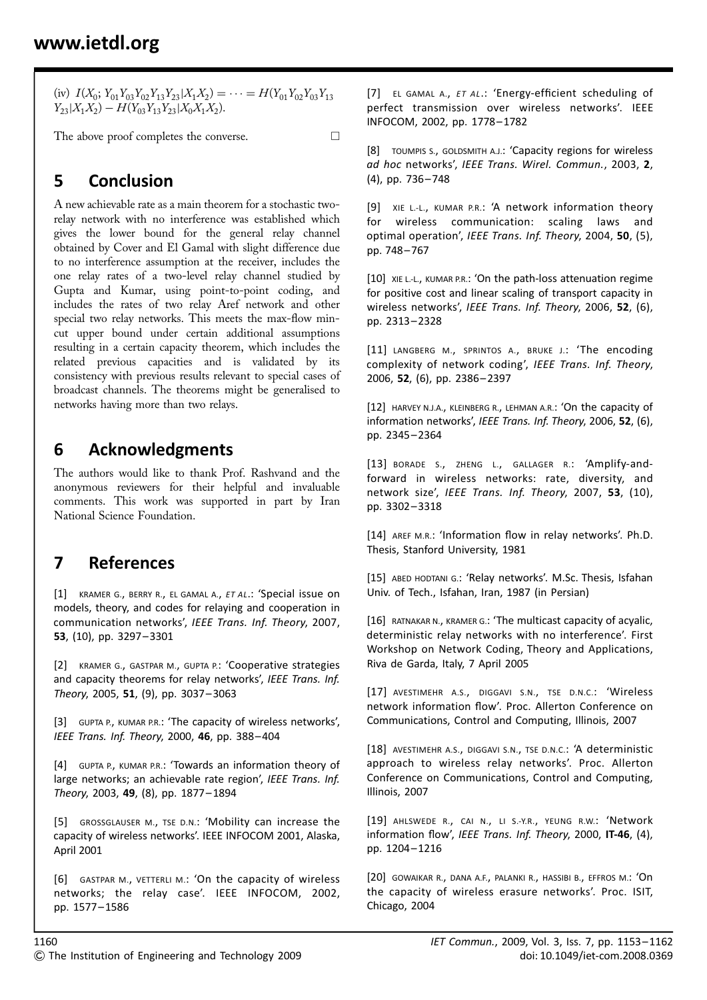(iv) 
$$
I(X_0; Y_{01}Y_{03}Y_{02}Y_{13}Y_{23}|X_1X_2) = \cdots = H(Y_{01}Y_{02}Y_{03}Y_{13}
$$
  
\n $Y_{23}|X_1X_2) - H(Y_{03}Y_{13}Y_{23}|X_0X_1X_2).$ 

The above proof completes the converse.  $\Box$ 

### 5 Conclusion

A new achievable rate as a main theorem for a stochastic tworelay network with no interference was established which gives the lower bound for the general relay channel obtained by Cover and El Gamal with slight difference due to no interference assumption at the receiver, includes the one relay rates of a two-level relay channel studied by Gupta and Kumar, using point-to-point coding, and includes the rates of two relay Aref network and other special two relay networks. This meets the max-flow mincut upper bound under certain additional assumptions resulting in a certain capacity theorem, which includes the related previous capacities and is validated by its consistency with previous results relevant to special cases of broadcast channels. The theorems might be generalised to networks having more than two relays.

### 6 Acknowledgments

The authors would like to thank Prof. Rashvand and the anonymous reviewers for their helpful and invaluable comments. This work was supported in part by Iran National Science Foundation.

### 7 References

[1] KRAMER G., BERRY R., EL GAMAL A., ET AL.: 'Special issue on models, theory, and codes for relaying and cooperation in communication networks', IEEE Trans. Inf. Theory, 2007, 53, (10), pp. 3297– 3301

[2] KRAMER G., GASTPAR M., GUPTA P.: 'Cooperative strategies and capacity theorems for relay networks', IEEE Trans. Inf. Theory, 2005, 51, (9), pp. 3037– 3063

[3] GUPTA P., KUMAR P.R.: 'The capacity of wireless networks'. IEEE Trans. Inf. Theory, 2000, 46, pp. 388– 404

[4] GUPTA P., KUMAR P.R.: 'Towards an information theory of large networks; an achievable rate region', IEEE Trans. Inf. Theory, 2003, 49, (8), pp. 1877– 1894

[5] GROSSGLAUSER M., TSE D.N.: 'Mobility can increase the capacity of wireless networks'. IEEE INFOCOM 2001, Alaska, April 2001

[6] GASTPAR M., VETTERLI M.: 'On the capacity of wireless networks; the relay case'. IEEE INFOCOM, 2002, pp. 1577– 1586

[7] EL GAMAL A., ET AL.: 'Energy-efficient scheduling of perfect transmission over wireless networks'. IEEE INFOCOM, 2002, pp. 1778– 1782

[8] TOUMPIS S., GOLDSMITH A.J.: 'Capacity regions for wireless ad hoc networks', IEEE Trans. Wirel. Commun., 2003, 2, (4), pp. 736– 748

[9] XIE L.-L., KUMAR P.R.: 'A network information theory for wireless communication: scaling laws and optimal operation', IEEE Trans. Inf. Theory, 2004, 50, (5), pp. 748– 767

[10] XIE L.-L., KUMAR P.R.: 'On the path-loss attenuation regime for positive cost and linear scaling of transport capacity in wireless networks', IEEE Trans. Inf. Theory, 2006, 52, (6). pp. 2313– 2328

[11] LANGBERG M., SPRINTOS A., BRUKE J.: 'The encoding complexity of network coding', IEEE Trans. Inf. Theory, 2006, 52, (6), pp. 2386– 2397

[12] HARVEY N.J.A., KLEINBERG R., LEHMAN A.R.: 'On the capacity of information networks', IEEE Trans. Inf. Theory, 2006, 52, (6), pp. 2345– 2364

[13] BORADE S., ZHENG L., GALLAGER R.: 'Amplify-andforward in wireless networks: rate, diversity, and network size', IEEE Trans. Inf. Theory, 2007, 53, (10), pp. 3302– 3318

[14] AREF M.R.: 'Information flow in relay networks'. Ph.D. Thesis, Stanford University, 1981

[15] ABED HODTANI G.: 'Relay networks'. M.Sc. Thesis, Isfahan Univ. of Tech., Isfahan, Iran, 1987 (in Persian)

[16] RATNAKAR N., KRAMER G.: 'The multicast capacity of acyalic, deterministic relay networks with no interference'. First Workshop on Network Coding, Theory and Applications, Riva de Garda, Italy, 7 April 2005

[17] AVESTIMEHR A.S., DIGGAVI S.N., TSE D.N.C.: 'Wireless network information flow'. Proc. Allerton Conference on Communications, Control and Computing, Illinois, 2007

[18] AVESTIMEHR A.S., DIGGAVI S.N., TSE D.N.C.: 'A deterministic approach to wireless relay networks'. Proc. Allerton Conference on Communications, Control and Computing, Illinois, 2007

[19] AHLSWEDE R., CAI N., LI S.-Y.R., YEUNG R.W.: 'Network information flow', IEEE Trans. Inf. Theory, 2000, IT-46, (4), pp. 1204– 1216

[20] GOWAIKAR R., DANA A.F., PALANKI R., HASSIBI B., EFFROS M.: 'On the capacity of wireless erasure networks'. Proc. ISIT, Chicago, 2004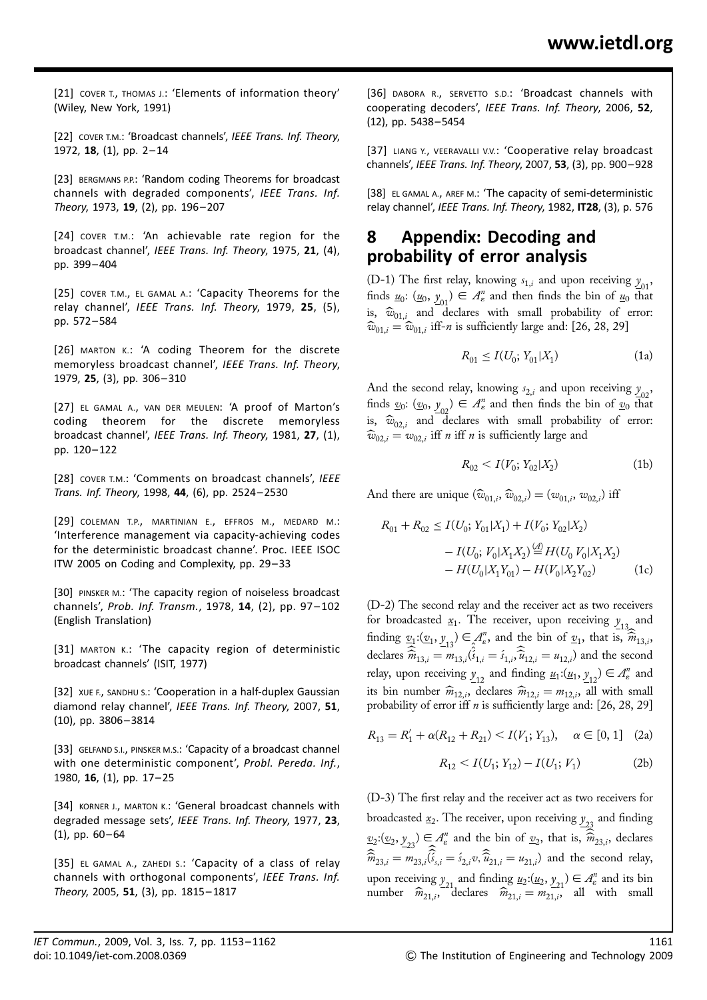[21] COVER T., THOMAS J.: 'Elements of information theory' (Wiley, New York, 1991)

[22] COVER T.M.: 'Broadcast channels', IEEE Trans. Inf. Theory, 1972, 18, (1), pp. 2– 14

[23] BERGMANS P.P.: 'Random coding Theorems for broadcast channels with degraded components', IEEE Trans. Inf. Theory, 1973, 19, (2), pp. 196-207

[24] COVER T.M.: 'An achievable rate region for the broadcast channel', IEEE Trans. Inf. Theory, 1975, 21, (4), pp. 399– 404

[25] COVER T.M., EL GAMAL A.: 'Capacity Theorems for the relay channel', IEEE Trans. Inf. Theory, 1979, 25, (5), pp. 572– 584

[26] MARTON K.: 'A coding Theorem for the discrete memoryless broadcast channel', IEEE Trans. Inf. Theory, 1979, 25, (3), pp. 306– 310

[27] EL GAMAL A., VAN DER MEULEN: 'A proof of Marton's coding theorem for the discrete memoryless broadcast channel', IEEE Trans. Inf. Theory, 1981, 27, (1), pp. 120– 122

[28] COVER T.M.: 'Comments on broadcast channels', IEEE Trans. Inf. Theory, 1998, 44, (6), pp. 2524– 2530

[29] COLEMAN T.P., MARTINIAN E., EFFROS M., MEDARD M.: 'Interference management via capacity-achieving codes for the deterministic broadcast channe'. Proc. IEEE ISOC ITW 2005 on Coding and Complexity, pp. 29-33

[30] PINSKER M.: 'The capacity region of noiseless broadcast channels', Prob. Inf. Transm., 1978, 14, (2), pp. 97– 102 (English Translation)

[31] MARTON K.: 'The capacity region of deterministic broadcast channels' (ISIT, 1977)

[32] XUE F., SANDHU S.: 'Cooperation in a half-duplex Gaussian diamond relay channel', IEEE Trans. Inf. Theory, 2007, 51, (10), pp. 3806– 3814

[33] GELFAND S.I., PINSKER M.S.: 'Capacity of a broadcast channel with one deterministic component', Probl. Pereda. Inf., 1980, 16, (1), pp. 17-25

[34] KORNER J., MARTON K.: 'General broadcast channels with degraded message sets', IEEE Trans. Inf. Theory, 1977, 23,  $(1)$ , pp.  $60-64$ 

[35] EL GAMAL A., ZAHEDI S.: 'Capacity of a class of relay channels with orthogonal components', IEEE Trans. Inf. Theory, 2005, 51, (3), pp. 1815– 1817

[36] DABORA R., SERVETTO S.D.: 'Broadcast channels with cooperating decoders', IEEE Trans. Inf. Theory, 2006, 52, (12), pp. 5438–5454

[37] LIANG Y., VEERAVALLI V.V.: 'Cooperative relay broadcast channels', IEEE Trans. Inf. Theory, 2007, 53, (3), pp. 900– 928

[38] EL GAMAL A., AREF M.: 'The capacity of semi-deterministic relay channel', IEEE Trans. Inf. Theory, 1982, IT28, (3), p. 576

### 8 Appendix: Decoding and probability of error analysis

(D-1) The first relay, knowing  $s_{1,i}$  and upon receiving  $y_{01}$ , finds  $\underline{u}_0$ :  $(\underline{u}_0, \underline{y}_{01}) \in A_{\varepsilon}^n$  and then finds the bin of  $\underline{u}_0$  that is,  $\widehat{w}_{01,i}$  and declares with small probability of error:  $\widehat{\omega}_{01,i} = \widehat{\omega}_{01,i}$  iff-*n* is sufficiently large and: [26, 28, 29]

$$
R_{01} \le I(U_0; Y_{01} | X_1) \tag{1a}
$$

And the second relay, knowing  $s_{2,i}$  and upon receiving  $y_{02}$ , finds  $\underline{v}_0$ :  $(\underline{v}_0, \underline{y}_{02}) \in A_{\varepsilon}^n$  and then finds the bin of  $\underline{v}_0$  that is,  $\widehat{w}_{02,i}$  and declares with small probability of error:  $\widehat{\omega}_{02,i} = w_{02,i}$  iff *n* iff *n* is sufficiently large and

$$
R_{02} < I(V_0; Y_{02} | X_2) \tag{1b}
$$

And there are unique  $(\widehat{w}_{01,i}, \widehat{w}_{02,i}) = (w_{01,i}, w_{02,i})$  iff

$$
R_{01} + R_{02} \le I(U_0; Y_{01}|X_1) + I(V_0; Y_{02}|X_2)
$$
  

$$
- I(U_0; V_0|X_1X_2) \stackrel{(d)}{=} H(U_0 V_0|X_1X_2)
$$
  

$$
- H(U_0|X_1Y_{01}) - H(V_0|X_2Y_{02})
$$
 (1c)

(D-2) The second relay and the receiver act as two receivers for broadcasted  $\underline{x}_1$ . The receiver, upon receiving  $\underline{y}_{13}$  and finding  $\underline{v}_1:(\underline{v}_1, \underline{y}_{13})\in \mathcal{A}_\varepsilon^n$ , and the bin of  $\underline{v}_1$ , that is,  $\widehat{\hat{m}}_{13,i}$ , declares  $\hat{\hat{m}}_{13,i} = m_{13,i} \hat{\hat{\hat{\beta}}}_{1,i} = \hat{s}_{1,i}, \hat{\hat{u}}_{12,i} = u_{12,i}$  and the second relay, upon receiving  $\underline{y}_{12}$  and finding  $\underline{u}_1: (\underline{u}_1, \underline{y}_{12}) \in \mathcal{A}_\varepsilon^n$  and its bin number  $\widehat{m}_{12,i}$ , declares  $\widehat{m}_{12,i} = m_{12,i}$ , all with small probability of error iff  $n$  is sufficiently large and:  $[26, 28, 29]$ 

$$
R_{13} = R'_1 + \alpha (R_{12} + R_{21}) < I(V_1; Y_{13}), \quad \alpha \in [0, 1] \tag{2a}
$$

$$
R_{12} < I(U_1; Y_{12}) - I(U_1; V_1) \tag{2b}
$$

(D-3) The first relay and the receiver act as two receivers for broadcasted  $\underline{x}_2.$  The receiver, upon receiving  $\underline{y}_{23}$  and finding  $(v_2, v_{23}) \in \mathcal{A}_\varepsilon^n$  and the bin of  $v_2$ , that is,  $\widehat{m}_{23,i}$ , declares  $\widehat{\widehat{m}}_{23,i} = \widetilde{m}_{23,i}\widehat{\zeta}_{5,i} = \widehat{s}_{2,i}v, \widehat{\widehat{u}}_{21,i} = u_{21,i}$  and the second relay, upon receiving  $\underline{v}_{21}$  and finding  $\underline{u}_2:(\underline{u}_2, \underline{v}_{21}) \in \mathcal{A}_\varepsilon^n$  and its bin number  $\widehat{m}_{21,i}$ , declares  $\widehat{m}_{21,i} = m_{21,i}$ , all with small